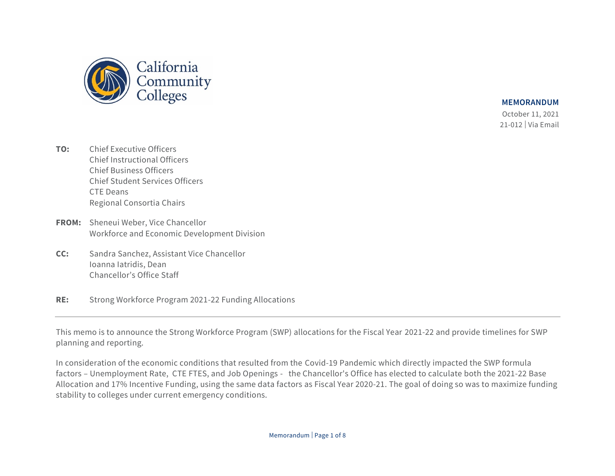

 October 11, 2021 21-012 | Via Email

- **TO:** Chief Executive Officers Chief Instructional Officers Chief Business Officers Chief Student Services Officers CTE Deans Regional Consortia Chairs
- **FROM:** Sheneui Weber, Vice Chancellor Workforce and Economic Development Division
- **CC:** Sandra Sanchez, Assistant Vice Chancellor Ioanna Iatridis, Dean Chancellor's Office Staff
- **RE:** Strong Workforce Program 2021-22 Funding Allocations

This memo is to announce the Strong Workforce Program (SWP) allocations for the Fiscal Year 2021-22 and provide timelines for SWP planning and reporting.

In consideration of the economic conditions that resulted from the Covid-19 Pandemic which directly impacted the SWP formula factors – Unemployment Rate, CTE FTES, and Job Openings - the Chancellor's Office has elected to calculate both the 2021-22 Base Allocation and 17% Incentive Funding, using the same data factors as Fiscal Year 2020-21. The goal of doing so was to maximize funding stability to colleges under current emergency conditions.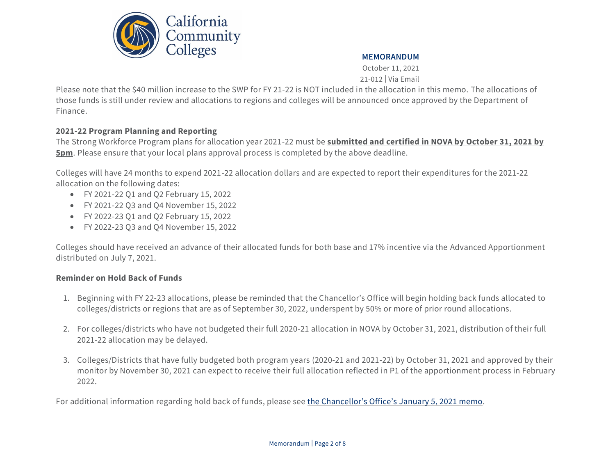

October 11, 2021 21-012 | Via Email

Please note that the \$40 million increase to the SWP for FY 21-22 is NOT included in the allocation in this memo. The allocations of those funds is still under review and allocations to regions and colleges will be announced once approved by the Department of Finance.

### **2021-22 Program Planning and Reporting**

The Strong Workforce Program plans for allocation year 2021-22 must be **submitted and certified in NOVA by October 31, 2021 by 5pm**. Please ensure that your local plans approval process is completed by the above deadline.

Colleges will have 24 months to expend 2021-22 allocation dollars and are expected to report their expenditures for the 2021-22 allocation on the following dates:

- FY 2021-22 Q1 and Q2 February 15, 2022
- FY 2021-22 Q3 and Q4 November 15, 2022
- FY 2022-23 Q1 and Q2 February 15, 2022
- FY 2022-23 Q3 and Q4 November 15, 2022

Colleges should have received an advance of their allocated funds for both base and 17% incentive via the Advanced Apportionment distributed on July 7, 2021.

### **Reminder on Hold Back of Funds**

- 1. Beginning with FY 22-23 allocations, please be reminded that the Chancellor's Office will begin holding back funds allocated to colleges/districts or regions that are as of September 30, 2022, underspent by 50% or more of prior round allocations.
- 2. For colleges/districts who have not budgeted their full 2020-21 allocation in NOVA by October 31, 2021, distribution of their full 2021-22 allocation may be delayed.
- 3. Colleges/Districts that have fully budgeted both program years (2020-21 and 2021-22) by October 31, 2021 and approved by their monitor by November 30, 2021 can expect to receive their full allocation reflected in P1 of the apportionment process in February 2022.

For additional information regarding hold back of funds, please see [the Chancellor's Office's](https://www.cccco.edu/-/media/CCCCO-Website/Files/Workforce-and-Economic-Development/WEDD-Memo/swp-wedd-memo-close-out-of-1st-4-yr-cycle-final142021-a11y.pdf) January 5, 2021 memo.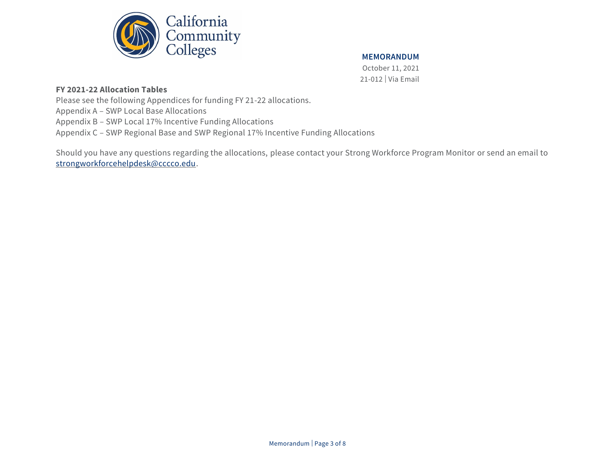

October 11, 2021 21-012 | Via Email

### **FY 2021-22 Allocation Tables**

Please see the following Appendices for funding FY 21-22 allocations.

Appendix A – SWP Local Base Allocations

Appendix B – SWP Local 17% Incentive Funding Allocations

Appendix C – SWP Regional Base and SWP Regional 17% Incentive Funding Allocations

Should you have any questions regarding the allocations, please contact your Strong Workforce Program Monitor or send an email to [strongworkforcehelpdesk@cccco.edu.](mailto:strongworkforcehelpdesk@cccco.edu)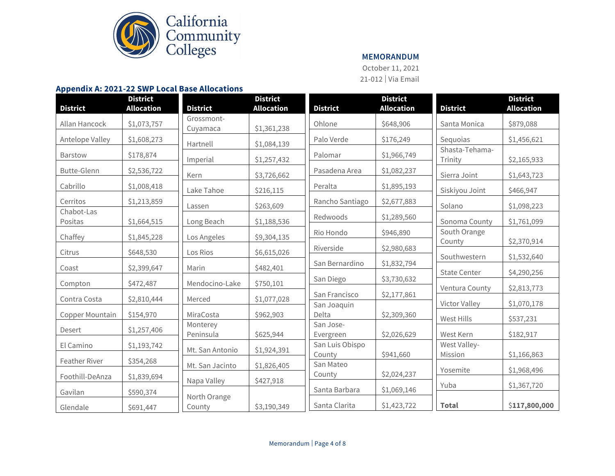

October 11, 2021 21-012 | Via Email

#### **Appendix A: 2021-22 SWP Local Base Allocations**

| <b>District</b>       | <b>District</b><br><b>Allocation</b> | <b>District</b>        | <b>District</b><br><b>Allocation</b> | <b>District</b>        | <b>District</b><br><b>Allocation</b> | <b>District</b>           | <b>District</b><br><b>Allocation</b> |
|-----------------------|--------------------------------------|------------------------|--------------------------------------|------------------------|--------------------------------------|---------------------------|--------------------------------------|
|                       |                                      |                        |                                      |                        |                                      |                           |                                      |
| Allan Hancock         | \$1,073,757                          | Grossmont-<br>Cuyamaca | \$1,361,238                          | Ohlone                 | \$648,906                            | Santa Monica              | \$879,088                            |
| Antelope Valley       | \$1,608,273                          | Hartnell               | \$1,084,139                          | Palo Verde             | \$176,249                            | Sequoias                  | \$1,456,621                          |
| <b>Barstow</b>        | \$178,874                            | Imperial               | \$1,257,432                          | Palomar                | \$1,966,749                          | Shasta-Tehama-<br>Trinity | \$2,165,933                          |
| <b>Butte-Glenn</b>    | \$2,536,722                          | Kern                   | \$3,726,662                          | Pasadena Area          | \$1,082,237                          | Sierra Joint              | \$1,643,723                          |
| Cabrillo              | \$1,008,418                          | Lake Tahoe             | \$216,115                            | Peralta                | \$1,895,193                          | Siskiyou Joint            | \$466,947                            |
| Cerritos              | \$1,213,859                          | Lassen                 | \$263,609                            | Rancho Santiago        | \$2,677,883                          | Solano                    | \$1,098,223                          |
| Chabot-Las<br>Positas | \$1,664,515                          | Long Beach             | \$1,188,536                          | Redwoods               | \$1,289,560                          | Sonoma County             | \$1,761,099                          |
| Chaffey               | \$1,845,228                          | Los Angeles            | \$9,304,135                          | Rio Hondo              | \$946,890                            | South Orange              |                                      |
|                       |                                      | Los Rios               |                                      | Riverside              | \$2,980,683                          | County                    | \$2,370,914                          |
| Citrus                | \$648,530                            |                        | \$6,615,026                          | San Bernardino         | \$1,832,794                          | Southwestern              | \$1,532,640                          |
| Coast                 | \$2,399,647                          | Marin                  | \$482,401                            | San Diego              | \$3,730,632                          | <b>State Center</b>       | \$4,290,256                          |
| Compton               | \$472,487                            | Mendocino-Lake         | \$750,101                            | San Francisco          |                                      | Ventura County            | \$2,813,773                          |
| Contra Costa          | \$2,810,444                          | Merced                 | \$1,077,028                          | San Joaquin            | \$2,177,861                          | Victor Valley             | \$1,070,178                          |
| Copper Mountain       | \$154,970                            | MiraCosta              | \$962,903                            | Delta                  | \$2,309,360                          | West Hills                | \$537,231                            |
| Desert                | \$1,257,406                          | Monterey<br>Peninsula  | \$625,944                            | San Jose-<br>Evergreen | \$2,026,629                          | West Kern                 | \$182,917                            |
| El Camino             | \$1,193,742                          | Mt. San Antonio        |                                      | San Luis Obispo        |                                      | West Valley-              |                                      |
| Feather River         | \$354,268                            |                        | \$1,924,391                          | County                 | \$941,660                            | Mission                   | \$1,166,863                          |
| Foothill-DeAnza       | \$1,839,694                          | Mt. San Jacinto        | \$1,826,405                          | San Mateo<br>County    | \$2,024,237                          | Yosemite                  | \$1,968,496                          |
|                       |                                      | Napa Valley            | \$427,918                            | Santa Barbara          | \$1,069,146                          | Yuba                      | \$1,367,720                          |
| Gavilan               | \$590,374                            | North Orange           |                                      |                        |                                      |                           |                                      |
| Glendale              | \$691,447                            | County                 | \$3,190,349                          | Santa Clarita          | \$1,423,722                          | <b>Total</b>              | \$117,800,000                        |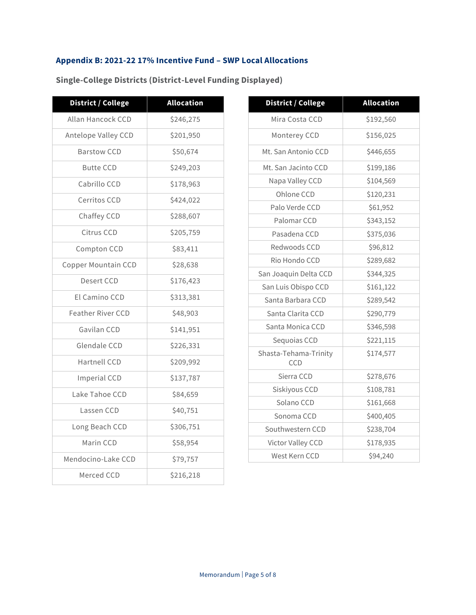# **Appendix B: 2021-22 17% Incentive Fund – SWP Local Allocations**

| <b>District / College</b> | <b>Allocation</b> |  |
|---------------------------|-------------------|--|
| Allan Hancock CCD         | \$246,275         |  |
| Antelope Valley CCD       | \$201,950         |  |
| <b>Barstow CCD</b>        | \$50,674          |  |
| <b>Butte CCD</b>          | \$249,203         |  |
| Cabrillo CCD              | \$178,963         |  |
| <b>Cerritos CCD</b>       | \$424,022         |  |
| Chaffey CCD               | \$288,607         |  |
| Citrus CCD                | \$205,759         |  |
| Compton CCD               | \$83,411          |  |
| Copper Mountain CCD       | \$28,638          |  |
| Desert CCD                | \$176,423         |  |
| El Camino CCD             | \$313,381         |  |
| <b>Feather River CCD</b>  | \$48,903          |  |
| Gavilan CCD               | \$141,951         |  |
| Glendale CCD              | \$226,331         |  |
| <b>Hartnell CCD</b>       | \$209,992         |  |
| <b>Imperial CCD</b>       | \$137,787         |  |
| Lake Tahoe CCD            | \$84,659          |  |
| Lassen CCD                | \$40,751          |  |
| Long Beach CCD            | \$306,751         |  |
| Marin CCD                 | \$58,954          |  |
| Mendocino-Lake CCD        | \$79,757          |  |
| Merced CCD                | \$216,218         |  |

**Single-College Districts (District-Level Funding Displayed)**

| District / College           | <b>Allocation</b> |  |  |
|------------------------------|-------------------|--|--|
| Mira Costa CCD               | \$192,560         |  |  |
| Monterey CCD                 | \$156,025         |  |  |
| Mt. San Antonio CCD          | \$446,655         |  |  |
| Mt. San Jacinto CCD          | \$199,186         |  |  |
| Napa Valley CCD              | \$104,569         |  |  |
| Ohlone CCD                   | \$120,231         |  |  |
| Palo Verde CCD               | \$61,952          |  |  |
| Palomar CCD                  | \$343,152         |  |  |
| Pasadena CCD                 | \$375,036         |  |  |
| Redwoods CCD                 | \$96,812          |  |  |
| Rio Hondo CCD                | \$289,682         |  |  |
| San Joaquin Delta CCD        | \$344,325         |  |  |
| San Luis Obispo CCD          | \$161,122         |  |  |
| Santa Barbara CCD            | \$289,542         |  |  |
| Santa Clarita CCD            | \$290,779         |  |  |
| Santa Monica CCD             | \$346,598         |  |  |
| Sequoias CCD                 | \$221,115         |  |  |
| Shasta-Tehama-Trinity<br>CCD | \$174,577         |  |  |
| Sierra CCD                   | \$278,676         |  |  |
| Siskiyous CCD                | \$108,781         |  |  |
| Solano CCD                   | \$161,668         |  |  |
| Sonoma CCD                   | \$400,405         |  |  |
| Southwestern CCD             | \$238,704         |  |  |
| Victor Valley CCD            | \$178,935         |  |  |
| West Kern CCD                | \$94,240          |  |  |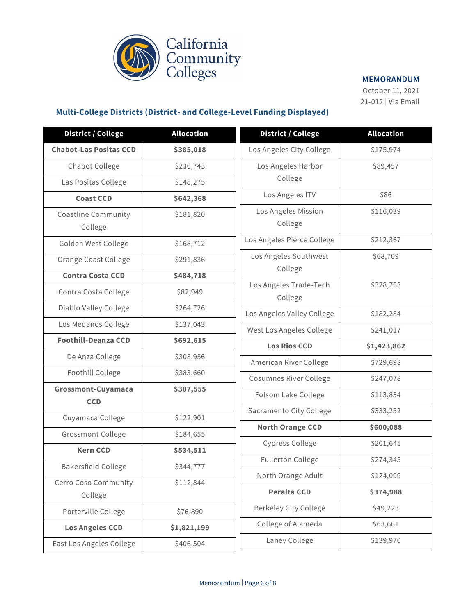

October 11, 2021 21-012 | Via Email

# **Multi-College Districts (District- and College-Level Funding Displayed)**

| <b>District / College</b>             | <b>Allocation</b> | <b>District / College</b>         | <b>Allocation</b> |
|---------------------------------------|-------------------|-----------------------------------|-------------------|
| <b>Chabot-Las Positas CCD</b>         | \$385,018         | Los Angeles City College          | \$175,974         |
| Chabot College                        | \$236,743         | Los Angeles Harbor                | \$89,457          |
| Las Positas College                   | \$148,275         | College                           |                   |
| <b>Coast CCD</b>                      | \$642,368         | Los Angeles ITV                   | \$86              |
| <b>Coastline Community</b><br>College | \$181,820         | Los Angeles Mission<br>College    | \$116,039         |
| Golden West College                   | \$168,712         | Los Angeles Pierce College        | \$212,367         |
| Orange Coast College                  | \$291,836         | Los Angeles Southwest             | \$68,709          |
| <b>Contra Costa CCD</b>               | \$484,718         | College                           |                   |
| Contra Costa College                  | \$82,949          | Los Angeles Trade-Tech<br>College | \$328,763         |
| Diablo Valley College                 | \$264,726         | Los Angeles Valley College        | \$182,284         |
| Los Medanos College                   | \$137,043         | West Los Angeles College          | \$241,017         |
| <b>Foothill-Deanza CCD</b>            | \$692,615         | <b>Los Rios CCD</b>               | \$1,423,862       |
| De Anza College                       | \$308,956         | American River College            | \$729,698         |
| Foothill College                      | \$383,660         | <b>Cosumnes River College</b>     | \$247,078         |
| Grossmont-Cuyamaca<br><b>CCD</b>      | \$307,555         | Folsom Lake College               | \$113,834         |
| Cuyamaca College                      | \$122,901         | Sacramento City College           | \$333,252         |
| Grossmont College                     | \$184,655         | <b>North Orange CCD</b>           | \$600,088         |
| <b>Kern CCD</b>                       | \$534,511         | <b>Cypress College</b>            | \$201,645         |
|                                       |                   | <b>Fullerton College</b>          | \$274,345         |
| <b>Bakersfield College</b>            | \$344,777         | North Orange Adult                | \$124,099         |
| Cerro Coso Community<br>College       | \$112,844         | <b>Peralta CCD</b>                | \$374,988         |
| Porterville College                   | \$76,890          | <b>Berkeley City College</b>      | \$49,223          |
| <b>Los Angeles CCD</b>                | \$1,821,199       | College of Alameda                | \$63,661          |
| East Los Angeles College              | \$406,504         | Laney College                     | \$139,970         |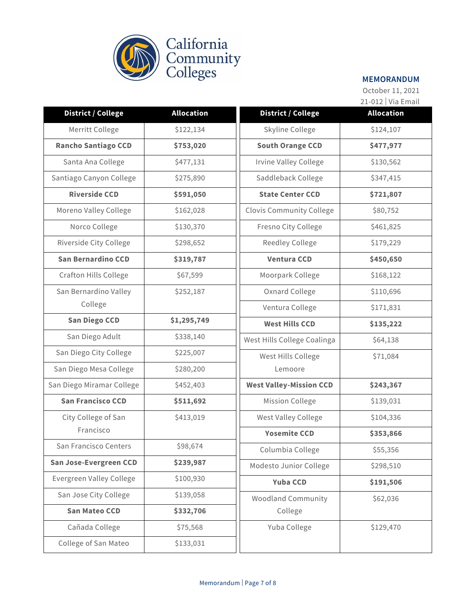

October 11, 2021 21-012 | Via Email

|                              |                   |                                 | $21 \times 12$   $\sqrt{10}$ Lillian |
|------------------------------|-------------------|---------------------------------|--------------------------------------|
| <b>District / College</b>    | <b>Allocation</b> | <b>District / College</b>       | <b>Allocation</b>                    |
| Merritt College              | \$122,134         | Skyline College                 | \$124,107                            |
| <b>Rancho Santiago CCD</b>   | \$753,020         | <b>South Orange CCD</b>         | \$477,977                            |
| Santa Ana College            | \$477,131         | Irvine Valley College           | \$130,562                            |
| Santiago Canyon College      | \$275,890         | Saddleback College              | \$347,415                            |
| <b>Riverside CCD</b>         | \$591,050         | <b>State Center CCD</b>         | \$721,807                            |
| Moreno Valley College        | \$162,028         | <b>Clovis Community College</b> | \$80,752                             |
| Norco College                | \$130,370         | Fresno City College             | \$461,825                            |
| Riverside City College       | \$298,652         | <b>Reedley College</b>          | \$179,229                            |
| <b>San Bernardino CCD</b>    | \$319,787         | <b>Ventura CCD</b>              | \$450,650                            |
| <b>Crafton Hills College</b> | \$67,599          | Moorpark College                | \$168,122                            |
| San Bernardino Valley        | \$252,187         | Oxnard College                  | \$110,696                            |
| College                      |                   | Ventura College                 | \$171,831                            |
| <b>San Diego CCD</b>         | \$1,295,749       | <b>West Hills CCD</b>           | \$135,222                            |
| San Diego Adult              | \$338,140         | West Hills College Coalinga     | \$64,138                             |
| San Diego City College       | \$225,007         | West Hills College              | \$71,084                             |
| San Diego Mesa College       | \$280,200         | Lemoore                         |                                      |
| San Diego Miramar College    | \$452,403         | <b>West Valley-Mission CCD</b>  | \$243,367                            |
| <b>San Francisco CCD</b>     | \$511,692         | Mission College                 | \$139,031                            |
| City College of San          | \$413,019         | West Valley College             | \$104,336                            |
| Francisco                    |                   | <b>Yosemite CCD</b>             | \$353,866                            |
| San Francisco Centers        | \$98,674          | Columbia College                | \$55,356                             |
| San Jose-Evergreen CCD       | \$239,987         | Modesto Junior College          | \$298,510                            |
| Evergreen Valley College     | \$100,930         | <b>Yuba CCD</b>                 | \$191,506                            |
| San Jose City College        | \$139,058         | <b>Woodland Community</b>       | \$62,036                             |
| <b>San Mateo CCD</b>         | \$332,706         | College                         |                                      |
| Cañada College               | \$75,568          | Yuba College                    | \$129,470                            |
| College of San Mateo         | \$133,031         |                                 |                                      |